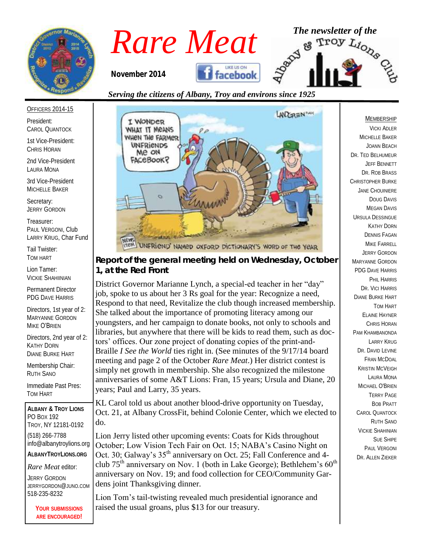

# *Rare Meat* The newsletter of the **Rare Meat** of the **Troy**  $L_{i_{O_{\chi_{\mathcal{S}}}}}$

*November 2014* 



*Serving the citizens of Albany, Troy and environs since 1925*

President: CAROL QUANTOCK

OFFICERS 2014-15

1st Vice-President: CHRIS HORAN

2nd Vice-President LAURA MONA

3rd Vice-President MICHELLE BAKER

Secretary: JERRY GORDON

Treasurer: PAUL VERGONI, Club LARRY KRUG, Char Fund

Tail Twister: TOM HART

Lion Tamer: VICKIE SHAHIINIAN

Permanent Director PDG DAVE HARRIS

Directors, 1st year of 2: MARYANNE GORDON MIKE O'BRIEN

Directors, 2nd year of 2: KATHY DORN DIANE BURKE HART

Membership Chair: RUTH SANO

Immediate Past Pres: TOM HART

**ALBANY & TROY LIONS** PO BOX 192 TROY, NY 12181-0192 (518) 266-7788 info@albanytroylions.org **ALBANYTROYLIONS.ORG**

*Rare Meat* editor:

JERRY GORDON JERRYGORDON@JUNO.COM 518-235-8232

> **YOUR SUBMISSIONS ARE ENCOURAGED!**



UNFRIEND' NAMED OXFORD DICTIONARY'S WORD OF THE YEAR

*Report of the general meeting held on Wednesday, October 1, at the Red Front*

District Governor Marianne Lynch, a special-ed teacher in her "day" job, spoke to us about her 3 Rs goal for the year: Recognize a need, Respond to that need, Revitalize the club though increased membership. She talked about the importance of promoting literacy among our youngsters, and her campaign to donate books, not only to schools and libraries, but anywhere that there will be kids to read them, such as doctors' offices. Our zone project of donating copies of the print-and-Braille *I See the World* ties right in. (See minutes of the 9/17/14 board meeting and page 2 of the October *Rare Meat*.) Her district contest is simply net growth in membership. She also recognized the milestone anniversaries of some A&T Lions: Fran, 15 years; Ursula and Diane, 20 years; Paul and Larry, 35 years.

KL Carol told us about another blood-drive opportunity on Tuesday, Oct. 21, at Albany CrossFit, behind Colonie Center, which we elected to do.

Lion Jerry listed other upcoming events: Coats for Kids throughout October; Low Vision Tech Fair on Oct. 15; NABA's Casino Night on Oct. 30; Galway's 35<sup>th</sup> anniversary on Oct. 25; Fall Conference and 4club 75<sup>th</sup> anniversary on Nov. 1 (both in Lake George); Bethlehem's  $60<sup>th</sup>$ anniversary on Nov. 19; and food collection for CEO/Community Gardens joint Thanksgiving dinner.

Lion Tom's tail-twisting revealed much presidential ignorance and raised the usual groans, plus \$13 for our treasury.

#### MEMBERSHIP

VICKI ADLER MICHELLE BAKER JOANN BEACH DR. TED BELHUMEUR JEFF BENNETT DR. ROB BRASS CHRISTOPHER BURKE JANE CHOUINIERE DOUG DAVIS MEGAN DAVIS URSULA DESSINGUE KATHY DORN DENNIS FAGAN MIKE FARRELL JERRY GORDON MARYANNE GORDON PDG DAVE HARRIS PHIL HARRIS DR. VICI HARRIS DIANE BURKE HART TOM HART ELAINE HAYNER CHRIS HORAN PAM KHAMBANONDA LARRY KRUG DR. DAVID LEVINE FRAN MCDOAL KRISTIN MCVEIGH LAURA MONA MICHAEL O'BRIEN TERRY PAGE BOB PRATT CAROL QUANTOCK RUTH SANO VICKIE SHAHINIAN SUE SHIPE PAUL VERGONI DR. ALLEN ZIEKER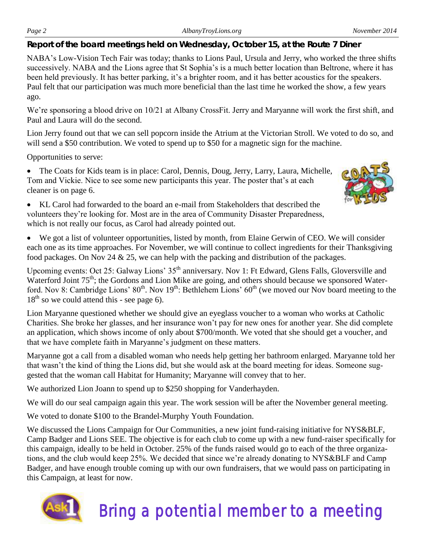*Report of the board meetings held on Wednesday, October 15, at the Route 7 Diner* 

NABA's Low-Vision Tech Fair was today; thanks to Lions Paul, Ursula and Jerry, who worked the three shifts successively. NABA and the Lions agree that St Sophia's is a much better location than Beltrone, where it has been held previously. It has better parking, it's a brighter room, and it has better acoustics for the speakers. Paul felt that our participation was much more beneficial than the last time he worked the show, a few years ago.

We're sponsoring a blood drive on 10/21 at Albany CrossFit. Jerry and Maryanne will work the first shift, and Paul and Laura will do the second.

Lion Jerry found out that we can sell popcorn inside the Atrium at the Victorian Stroll. We voted to do so, and will send a \$50 contribution. We voted to spend up to \$50 for a magnetic sign for the machine.

Opportunities to serve:

 The Coats for Kids team is in place: Carol, Dennis, Doug, Jerry, Larry, Laura, Michelle, Tom and Vickie. Nice to see some new participants this year. The poster that's at each cleaner is on page 6.



 KL Carol had forwarded to the board an e-mail from Stakeholders that described the volunteers they're looking for. Most are in the area of Community Disaster Preparedness, which is not really our focus, as Carol had already pointed out.

 We got a list of volunteer opportunities, listed by month, from Elaine Gerwin of CEO. We will consider each one as its time approaches. For November, we will continue to collect ingredients for their Thanksgiving food packages. On Nov 24 & 25, we can help with the packing and distribution of the packages.

Upcoming events: Oct 25: Galway Lions' 35<sup>th</sup> anniversary. Nov 1: Ft Edward, Glens Falls, Gloversville and Waterford Joint 75<sup>th</sup>; the Gordons and Lion Mike are going, and others should because we sponsored Waterford. Nov 8: Cambridge Lions'  $80^{th}$ . Nov  $19^{th}$ : Bethlehem Lions'  $60^{th}$  (we moved our Nov board meeting to the  $18<sup>th</sup>$  so we could attend this - see page 6).

Lion Maryanne questioned whether we should give an eyeglass voucher to a woman who works at Catholic Charities. She broke her glasses, and her insurance won't pay for new ones for another year. She did complete an application, which shows income of only about \$700/month. We voted that she should get a voucher, and that we have complete faith in Maryanne's judgment on these matters.

Maryanne got a call from a disabled woman who needs help getting her bathroom enlarged. Maryanne told her that wasn't the kind of thing the Lions did, but she would ask at the board meeting for ideas. Someone suggested that the woman call Habitat for Humanity; Maryanne will convey that to her.

We authorized Lion Joann to spend up to \$250 shopping for Vanderhayden.

We will do our seal campaign again this year. The work session will be after the November general meeting.

We voted to donate \$100 to the Brandel-Murphy Youth Foundation.

We discussed the Lions Campaign for Our Communities, a new joint fund-raising initiative for NYS&BLF, Camp Badger and Lions SEE. The objective is for each club to come up with a new fund-raiser specifically for this campaign, ideally to be held in October. 25% of the funds raised would go to each of the three organizations, and the club would keep 25%. We decided that since we're already donating to NYS&BLF and Camp Badger, and have enough trouble coming up with our own fundraisers, that we would pass on participating in this Campaign, at least for now.



# Bring a potential member to a meeting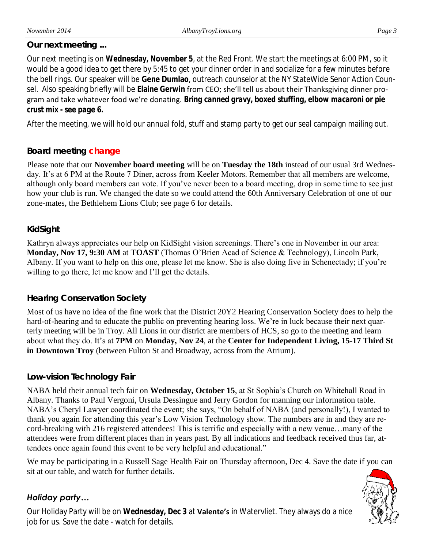#### *Our next meeting ...*

Our next meeting is on **Wednesday, November 5**, at the Red Front. We start the meetings at 6:00 PM, so it would be a good idea to get there by 5:45 to get your dinner order in and socialize for a few minutes before the bell rings. Our speaker will be **Gene Dumlao**, outreach counselor at the NY StateWide Senor Action Counsel. Also speaking briefly will be **Elaine Gerwin** from CEO; she'll tell us about their Thanksgiving dinner program and take whatever food we're donating. *Bring canned gravy, boxed stuffing, elbow macaroni or pie crust mix - see page 6.*

After the meeting, we will hold our annual fold, stuff and stamp party to get our seal campaign mailing out.

## *Board meeting change*

Please note that our **November board meeting** will be on **Tuesday the 18th** instead of our usual 3rd Wednesday. It's at 6 PM at the Route 7 Diner, across from Keeler Motors. Remember that all members are welcome, although only board members can vote. If you've never been to a board meeting, drop in some time to see just how your club is run. We changed the date so we could attend the 60th Anniversary Celebration of one of our zone-mates, the Bethlehem Lions Club; see page 6 for details.

#### *KidSight*

Kathryn always appreciates our help on KidSight vision screenings. There's one in November in our area: **Monday, Nov 17, 9:30 AM** at **TOAST** (Thomas O'Brien Acad of Science & Technology), Lincoln Park, Albany. If you want to help on this one, please let me know. She is also doing five in Schenectady; if you're willing to go there, let me know and I'll get the details.

#### *Hearing Conservation Society*

Most of us have no idea of the fine work that the District 20Y2 Hearing Conservation Society does to help the hard-of-hearing and to educate the public on preventing hearing loss. We're in luck because their next quarterly meeting will be in Troy. All Lions in our district are members of HCS, so go to the meeting and learn about what they do. It's at **7PM** on **Monday, Nov 24**, at the **Center for Independent Living, 15-17 Third St in Downtown Troy** (between Fulton St and Broadway, across from the Atrium).

#### *Low-vision Technology Fair*

NABA held their annual tech fair on **Wednesday, October 15**, at St Sophia's Church on Whitehall Road in Albany. Thanks to Paul Vergoni, Ursula Dessingue and Jerry Gordon for manning our information table. NABA's Cheryl Lawyer coordinated the event; she says, "On behalf of NABA (and personally!), I wanted to thank you again for attending this year's Low Vision Technology show. The numbers are in and they are record-breaking with 216 registered attendees! This is terrific and especially with a new venue…many of the attendees were from different places than in years past. By all indications and feedback received thus far, attendees once again found this event to be very helpful and educational."

We may be participating in a Russell Sage Health Fair on Thursday afternoon, Dec 4. Save the date if you can sit at our table, and watch for further details.

#### *Holiday party…*

Our Holiday Party will be on **Wednesday, Dec 3** at **Valente's** in Watervliet. They always do a nice job for us. Save the date - watch for details.

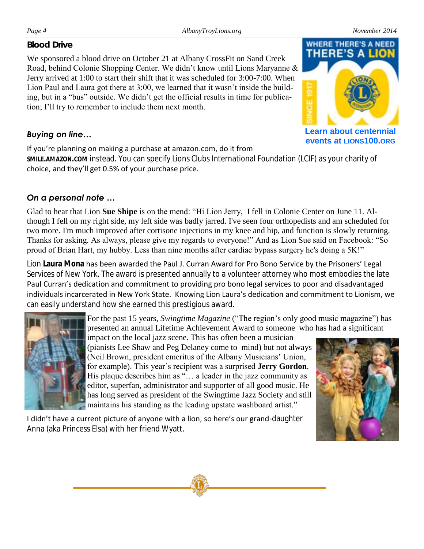#### *Blood Drive*

We sponsored a blood drive on October 21 at Albany CrossFit on Sand Creek Road, behind Colonie Shopping Center. We didn't know until Lions Maryanne & Jerry arrived at 1:00 to start their shift that it was scheduled for 3:00-7:00. When Lion Paul and Laura got there at 3:00, we learned that it wasn't inside the building, but in a "bus" outside. We didn't get the official results in time for publication; I'll try to remember to include them next month.

## *Buying on line…*

If you're planning on making a purchase at amazon.com, do it from

**SMILE.AMAZON.COM** instead. You can specify Lions Clubs International Foundation (LCIF) as your charity of choice, and they'll get 0.5% of your purchase price.

# *On a personal note …*

Glad to hear that Lion **Sue Shipe** is on the mend: "Hi Lion Jerry, I fell in Colonie Center on June 11. Although I fell on my right side, my left side was badly jarred. I've seen four orthopedists and am scheduled for two more. I'm much improved after cortisone injections in my knee and hip, and function is slowly returning. Thanks for asking. As always, please give my regards to everyone!" And as Lion Sue said on Facebook: "So proud of Brian Hart, my hubby. Less than nine months after cardiac bypass surgery he's doing a 5K!"

Lion **Laura Mona** has been awarded the Paul J. Curran Award for Pro Bono Service by the Prisoners' Legal Services of New York. The award is presented annually to a volunteer attorney who most embodies the late Paul Curran's dedication and commitment to providing pro bono legal services to poor and disadvantaged individuals incarcerated in New York State. Knowing Lion Laura's dedication and commitment to Lionism, we can easily understand how she earned this prestigious award.



For the past 15 years, *Swingtime Magazine* ("The region's only good music magazine") has presented an annual Lifetime Achievement Award to someone who has had a significant

impact on the local jazz scene. This has often been a musician (pianists Lee Shaw and Peg Delaney come to mind) but not always (Neil Brown, president emeritus of the Albany Musicians' Union, for example). This year's recipient was a surprised **Jerry Gordon**. His plaque describes him as "... a leader in the jazz community as editor, superfan, administrator and supporter of all good music. He has long served as president of the Swingtime Jazz Society and still maintains his standing as the leading upstate washboard artist."

I didn't have a current picture of anyone with a lion, so here's our grand-daughter

Anna (aka Princess Elsa) with her friend Wyatt.





**Learn about centennial events at LIONS100.ORG**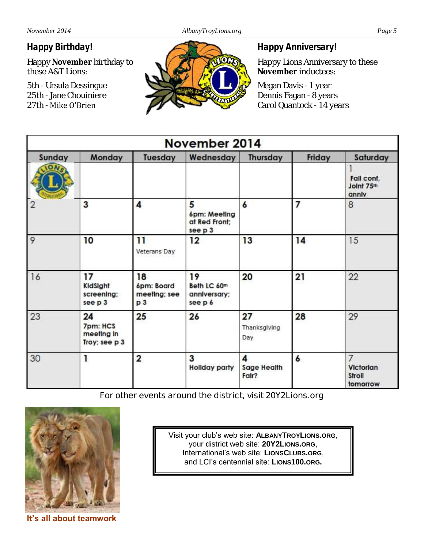## *Happy Birthday!*

Happy **November** birthday to these A&T Lions:

5th - Ursula Dessingue 25th - Jane Chouiniere 27th - Mike O'Brien



#### *Happy Anniversary!*

Happy Lions Anniversary to these **November** inductees:

Megan Davis - 1 year Dennis Fagan - 8 years Carol Quantock - 14 years

| November 2014 |                                               |                                                    |                                               |                           |        |                                      |
|---------------|-----------------------------------------------|----------------------------------------------------|-----------------------------------------------|---------------------------|--------|--------------------------------------|
| Sunday        | Monday                                        | Tuesday                                            | Wednesday                                     | Thursday                  | Friday | Saturday                             |
|               |                                               |                                                    |                                               |                           |        | Fall conf.<br>Joint 75th<br>anniv    |
|               | 3                                             | 4                                                  | 5<br>6pm: Meeting<br>at Red Front;<br>see p 3 | 6                         | 7      | 8                                    |
| $\circ$       | 10                                            | 11<br>Veterans Day                                 | 12                                            | 13                        | 14     | 15                                   |
| 16            | 17<br>KidSight<br>screening;<br>see p 3       | 18<br>6pm: Board<br>meeting; see<br>p <sub>3</sub> | 19<br>Beth LC 60m<br>anniversary;<br>see p 6  | 20                        | 21     | 22                                   |
| 23            | 24<br>7pm: HCS<br>meeting in<br>Troy; see p 3 | 25                                                 | 26                                            | 27<br>Thanksgiving<br>Day | 28     | 29                                   |
| 30            |                                               | 2                                                  | 3<br><b>Hollday party</b>                     | 4<br>Sage Health<br>Fair? | 6      | 7<br>Victorian<br>Stroll<br>tomorrow |

**For other events around the district, visit 20Y2Lions.org**



**It's all about teamwork**

Visit your club's web site: **ALBANYTROYLIONS.ORG**, your district web site: **20Y2LIONS.ORG**, International's web site: **LIONSCLUBS.ORG**, and LCI's centennial site: **LIONS100.ORG.**